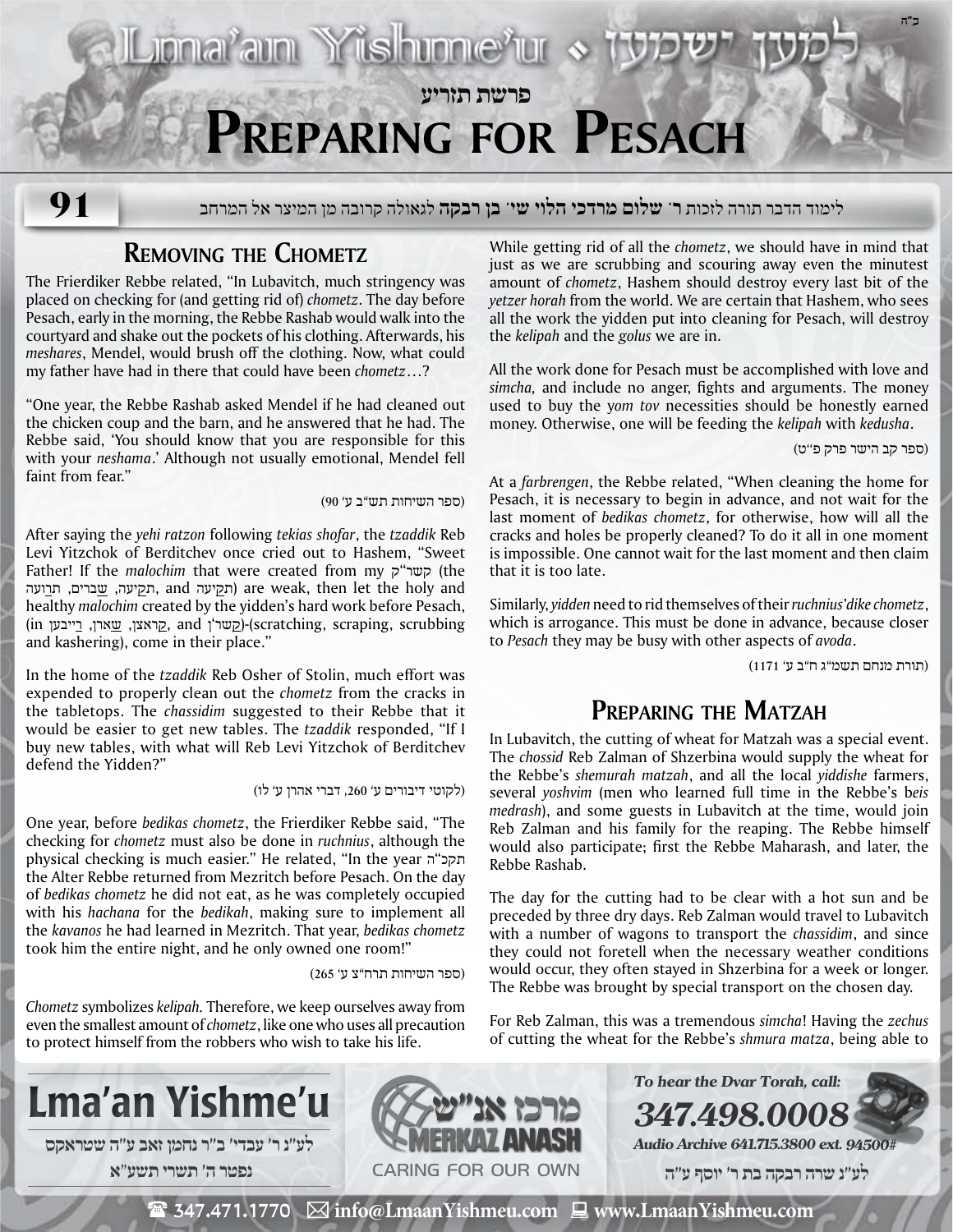## **פרשת תזריע Preparing for Pesach**

**91**

לימוד הדבר תורה לזכות **ר' שלום מרדכי הלוי שי' בן רבקה** לגאולה קרובה מן המיצר אל המרחב

## **Removing the Chometz**

The Frierdiker Rebbe related, "In Lubavitch, much stringency was placed on checking for (and getting rid of) *chometz*. The day before Pesach, early in the morning, the Rebbe Rashab would walk into the courtyard and shake out the pockets of his clothing. Afterwards, his *meshares*, Mendel, would brush off the clothing. Now, what could my father have had in there that could have been *chometz*…?

"One year, the Rebbe Rashab asked Mendel if he had cleaned out the chicken coup and the barn, and he answered that he had. The Rebbe said, 'You should know that you are responsible for this with your *neshama*.' Although not usually emotional, Mendel fell faint from fear."

(ספר השיחות תש"ב ע' 90)

Jonařam Yüshme<sup>x</sup>ur «

After saying the *yehi ratzon* following *tekias shofar*, the *tzaddik* Reb Levi Yitzchok of Berditchev once cried out to Hashem, "Sweet Father! If the *malochim* that were created from my ק"קשר) the תקיעה, <u>ש</u>ברים, ת<u>ר</u>ועה) are weak, then let the holy and healthy *malochim* created by the yidden's hard work before Pesach, in (קראצן, שארן, בייבען and ;jpy-(scratching, scraping, scrubbing and kashering), come in their place."

In the home of the *tzaddik* Reb Osher of Stolin, much effort was expended to properly clean out the *chometz* from the cracks in the tabletops. The *chassidim* suggested to their Rebbe that it would be easier to get new tables. The *tzaddik* responded, "If I buy new tables, with what will Reb Levi Yitzchok of Berditchev defend the Yidden?"

(לקוטי דיבורים ע' ,260 דברי אהרן ע' לו)

One year, before *bedikas chometz*, the Frierdiker Rebbe said, "The checking for *chometz* must also be done in *ruchnius*, although the physical checking is much easier." He related, "In the year תקכ"ה the Alter Rebbe returned from Mezritch before Pesach. On the day of *bedikas chometz* he did not eat, as he was completely occupied with his *hachana* for the *bedikah*, making sure to implement all the *kavanos* he had learned in Mezritch. That year, *bedikas chometz* took him the entire night, and he only owned one room!"

(ספר השיחות תרח"צ ע' 265)

*Chometz* symbolizes *kelipah.* Therefore, we keep ourselves away from even the smallest amount of *chometz*, like one who uses all precaution to protect himself from the robbers who wish to take his life.

While getting rid of all the *chometz*, we should have in mind that just as we are scrubbing and scouring away even the minutest amount of *chometz*, Hashem should destroy every last bit of the *yetzer horah* from the world. We are certain that Hashem, who sees all the work the yidden put into cleaning for Pesach, will destroy the *kelipah* and the *golus* we are in.

All the work done for Pesach must be accomplished with love and *simcha,* and include no anger, fights and arguments. The money used to buy the y*om tov* necessities should be honestly earned money. Otherwise, one will be feeding the *kelipah* with *kedusha*.

(ספר קב הישר פרק פ''ט)

**ב"ה**

At a *farbrengen*, the Rebbe related, "When cleaning the home for Pesach, it is necessary to begin in advance, and not wait for the last moment of *bedikas chometz*, for otherwise, how will all the cracks and holes be properly cleaned? To do it all in one moment is impossible. One cannot wait for the last moment and then claim that it is too late.

Similarly, *yidden* need to rid themselves of their *ruchnius'dike chometz*, which is arrogance. This must be done in advance, because closer to *Pesach* they may be busy with other aspects of *avoda*.

(תורת מנחם תשמ"ג ח"ב ע' 1171)

## **Preparing the Matzah**

In Lubavitch, the cutting of wheat for Matzah was a special event. The *chossid* Reb Zalman of Shzerbina would supply the wheat for the Rebbe's *shemurah matzah*, and all the local *yiddishe* farmers, several *yoshvim* (men who learned full time in the Rebbe's b*eis medrash*), and some guests in Lubavitch at the time, would join Reb Zalman and his family for the reaping. The Rebbe himself would also participate; first the Rebbe Maharash, and later, the Rebbe Rashab.

The day for the cutting had to be clear with a hot sun and be preceded by three dry days. Reb Zalman would travel to Lubavitch with a number of wagons to transport the *chassidim*, and since they could not foretell when the necessary weather conditions would occur, they often stayed in Shzerbina for a week or longer. The Rebbe was brought by special transport on the chosen day.

For Reb Zalman, this was a tremendous *simcha*! Having the *zechus* of cutting the wheat for the Rebbe's *shmura matza*, being able to

**347.498.0008**

**To hear the Dvar Torah, call:**





**Audio Archive 641.715.3800 ext. 94500#**

 **לע"נ שרה רבקה בת ר׳ יוסף ע"ה**

 $\mathbf{\mathcal{F}}$  347.471.1770  $\boxtimes$  info@LmaanYishmeu.com  $\Box$  www.LmaanYishmeu.com